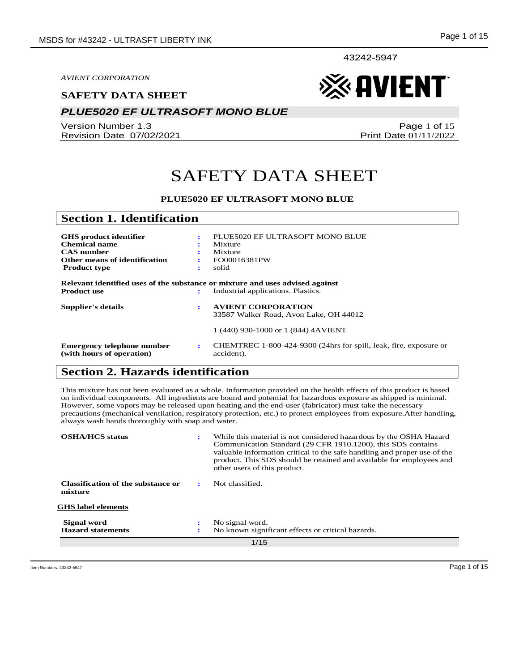43242-5947

*AVIENT CORPORATION*

#### **SAFETY DATA SHEET**

### *PLUE5020 EF ULTRASOFT MONO BLUE*

Version Number 1.3 Revision Date 07/02/2021

Page 1 of 15 Print Date 01/11/2022

**《《 AVIENT** 

## SAFETY DATA SHEET

#### **PLUE5020 EF ULTRASOFT MONO BLUE**

| <b>Section 1. Identification</b>                                                                            |   |                                                                                 |
|-------------------------------------------------------------------------------------------------------------|---|---------------------------------------------------------------------------------|
| <b>GHS</b> product identifier<br><b>Chemical name</b><br><b>CAS</b> number<br>Other means of identification | ÷ | PLUE5020 EF ULTRASOFT MONO BLUE<br>Mixture<br>Mixture<br>FO00016381PW           |
|                                                                                                             | ٠ |                                                                                 |
| <b>Product type</b>                                                                                         | ÷ | solid                                                                           |
| Relevant identified uses of the substance or mixture and uses advised against<br><b>Product use</b>         | ÷ | Industrial applications. Plastics.                                              |
| Supplier's details                                                                                          | ÷ | <b>AVIENT CORPORATION</b>                                                       |
|                                                                                                             |   | 33587 Walker Road, Avon Lake, OH 44012                                          |
|                                                                                                             |   | 1 (440) 930-1000 or 1 (844) 4AVIENT                                             |
| Emergency telephone number<br>(with hours of operation)                                                     | ÷ | CHEMTREC 1-800-424-9300 (24hrs for spill, leak, fire, exposure or<br>accident). |

## **Section 2. Hazards identification**

This mixture has not been evaluated as a whole. Information provided on the health effects of this product is based on individual components. All ingredients are bound and potential for hazardous exposure as shipped is minimal. However, some vapors may be released upon heating and the end-user (fabricator) must take the necessary precautions (mechanical ventilation, respiratory protection, etc.) to protect employees from exposure.After handling, always wash hands thoroughly with soap and water.

| <b>OSHA/HCS</b> status                        | ÷              | While this material is not considered hazardous by the OSHA Hazard<br>Communication Standard (29 CFR 1910.1200), this SDS contains<br>valuable information critical to the safe handling and proper use of the<br>product. This SDS should be retained and available for employees and<br>other users of this product. |
|-----------------------------------------------|----------------|------------------------------------------------------------------------------------------------------------------------------------------------------------------------------------------------------------------------------------------------------------------------------------------------------------------------|
| Classification of the substance or<br>mixture |                | Not classified.                                                                                                                                                                                                                                                                                                        |
| <b>GHS</b> label elements                     |                |                                                                                                                                                                                                                                                                                                                        |
| Signal word                                   | ٠<br>$\bullet$ | No signal word.                                                                                                                                                                                                                                                                                                        |
| <b>Hazard statements</b>                      | с              | No known significant effects or critical hazards.                                                                                                                                                                                                                                                                      |
| 1/15                                          |                |                                                                                                                                                                                                                                                                                                                        |

Item Numbers: 43242-5947 Page 1 of 15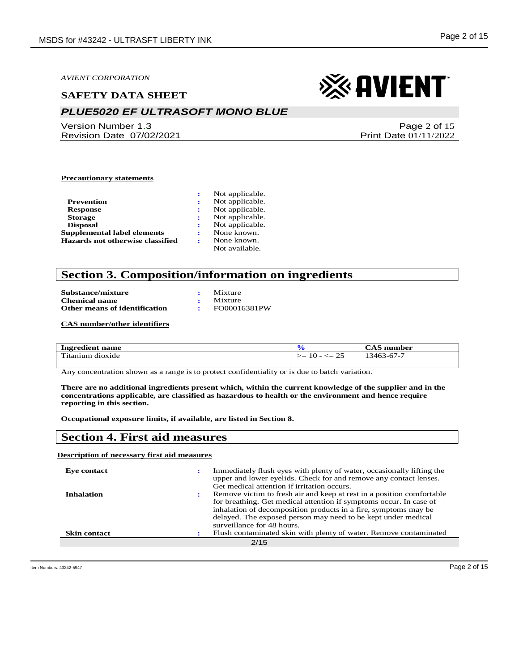#### **SAFETY DATA SHEET**

## *PLUE5020 EF ULTRASOFT MONO BLUE*

Version Number 1.3 Revision Date 07/02/2021

# ※ AVIENT

Page 2 of 15 Print Date 01/11/2022

#### **Precautionary statements**

|                                    | Not applicable. |
|------------------------------------|-----------------|
| Prevention                         | Not applicable. |
| <b>Response</b>                    | Not applicable. |
| <b>Storage</b>                     | Not applicable. |
| <b>Disposal</b>                    | Not applicable. |
| <b>Supplemental label elements</b> | None known.     |
| Hazards not otherwise classified   | None known.     |
|                                    | Not available.  |

#### **Section 3. Composition/information on ingredients**

| Substance/mixture             | Mixture         |
|-------------------------------|-----------------|
| <b>Chemical name</b>          | $\cdot$ Mixture |
| Other means of identification | FO00016381PW    |

**CAS number/other identifiers**

| Ingredient name  |                           | $\rm CAS$<br>number |
|------------------|---------------------------|---------------------|
| Titanium dioxide | $\leq$ 25<br>➢≕<br>$10 -$ | 13463-67-7          |

Any concentration shown as a range is to protect confidentiality or is due to batch variation.

**There are no additional ingredients present which, within the current knowledge of the supplier and in the concentrations applicable, are classified as hazardous to health or the environment and hence require reporting in this section.**

**Occupational exposure limits, if available, are listed in Section 8.**

#### **Section 4. First aid measures**

#### **Description of necessary first aid measures**

| Eve contact         | Immediately flush eyes with plenty of water, occasionally lifting the<br>upper and lower eyelids. Check for and remove any contact lenses.<br>Get medical attention if irritation occurs.                                                                                                                     |
|---------------------|---------------------------------------------------------------------------------------------------------------------------------------------------------------------------------------------------------------------------------------------------------------------------------------------------------------|
| <b>Inhalation</b>   | Remove victim to fresh air and keep at rest in a position comfortable<br>for breathing. Get medical attention if symptoms occur. In case of<br>inhalation of decomposition products in a fire, symptoms may be<br>delayed. The exposed person may need to be kept under medical<br>surveillance for 48 hours. |
| <b>Skin contact</b> | Flush contaminated skin with plenty of water. Remove contaminated                                                                                                                                                                                                                                             |
|                     | 2/15                                                                                                                                                                                                                                                                                                          |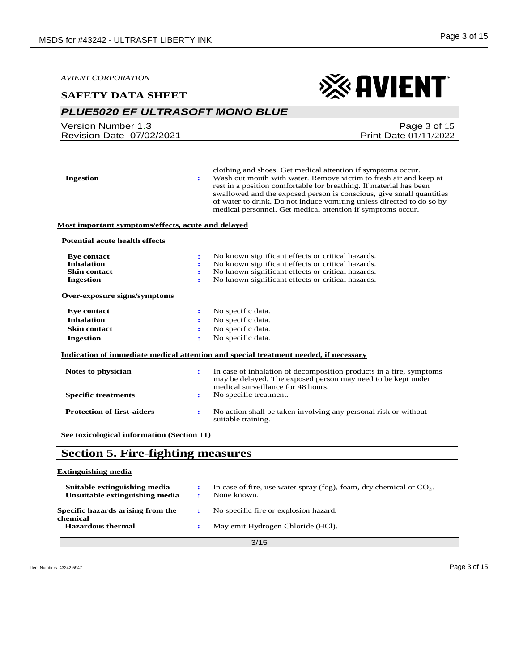※AVIENT

*AVIENT CORPORATION*

#### **SAFETY DATA SHEET**

### *PLUE5020 EF ULTRASOFT MONO BLUE*

| Version Number 1.3       | Page $3$ of 15          |
|--------------------------|-------------------------|
| Revision Date 07/02/2021 | Print Date $01/11/2022$ |
|                          |                         |

| <b>Ingestion</b><br>÷                                     | clothing and shoes. Get medical attention if symptoms occur.<br>Wash out mouth with water. Remove victim to fresh air and keep at<br>rest in a position comfortable for breathing. If material has been<br>swallowed and the exposed person is conscious, give small quantities<br>of water to drink. Do not induce vomiting unless directed to do so by<br>medical personnel. Get medical attention if symptoms occur. |
|-----------------------------------------------------------|-------------------------------------------------------------------------------------------------------------------------------------------------------------------------------------------------------------------------------------------------------------------------------------------------------------------------------------------------------------------------------------------------------------------------|
| Most important symptoms/effects, acute and delayed        |                                                                                                                                                                                                                                                                                                                                                                                                                         |
| <b>Potential acute health effects</b>                     |                                                                                                                                                                                                                                                                                                                                                                                                                         |
| <b>Eye contact</b><br>$\ddot{\phantom{a}}$                | No known significant effects or critical hazards.                                                                                                                                                                                                                                                                                                                                                                       |
| <b>Inhalation</b>                                         | No known significant effects or critical hazards.                                                                                                                                                                                                                                                                                                                                                                       |
| <b>Skin contact</b><br>÷                                  | No known significant effects or critical hazards.                                                                                                                                                                                                                                                                                                                                                                       |
| <b>Ingestion</b><br>÷                                     | No known significant effects or critical hazards.                                                                                                                                                                                                                                                                                                                                                                       |
| Over-exposure signs/symptoms                              |                                                                                                                                                                                                                                                                                                                                                                                                                         |
| <b>Eye contact</b><br>÷                                   | No specific data.                                                                                                                                                                                                                                                                                                                                                                                                       |
| <b>Inhalation</b>                                         | No specific data.                                                                                                                                                                                                                                                                                                                                                                                                       |
| <b>Skin contact</b>                                       | No specific data.                                                                                                                                                                                                                                                                                                                                                                                                       |
| <b>Ingestion</b>                                          | No specific data.                                                                                                                                                                                                                                                                                                                                                                                                       |
|                                                           | Indication of immediate medical attention and special treatment needed, if necessary                                                                                                                                                                                                                                                                                                                                    |
| Notes to physician<br>$\mathbf{r}$                        | In case of inhalation of decomposition products in a fire, symptoms<br>may be delayed. The exposed person may need to be kept under<br>medical surveillance for 48 hours.                                                                                                                                                                                                                                               |
| <b>Specific treatments</b><br>÷                           | No specific treatment.                                                                                                                                                                                                                                                                                                                                                                                                  |
| <b>Protection of first-aiders</b><br>$\ddot{\phantom{a}}$ | No action shall be taken involving any personal risk or without<br>suitable training.                                                                                                                                                                                                                                                                                                                                   |
| See toxicological information (Section 11)                |                                                                                                                                                                                                                                                                                                                                                                                                                         |

## **Section 5. Fire-fighting measures**

#### **Extinguishing media**

| Suitable extinguishing media<br>Unsuitable extinguishing media |  | In case of fire, use water spray (fog), foam, dry chemical or $CO2$ .<br>None known. |
|----------------------------------------------------------------|--|--------------------------------------------------------------------------------------|
| Specific hazards arising from the<br>chemical                  |  | No specific fire or explosion hazard.                                                |
| <b>Hazardous thermal</b>                                       |  | May emit Hydrogen Chloride (HCl).                                                    |
| 3/15                                                           |  |                                                                                      |

3/15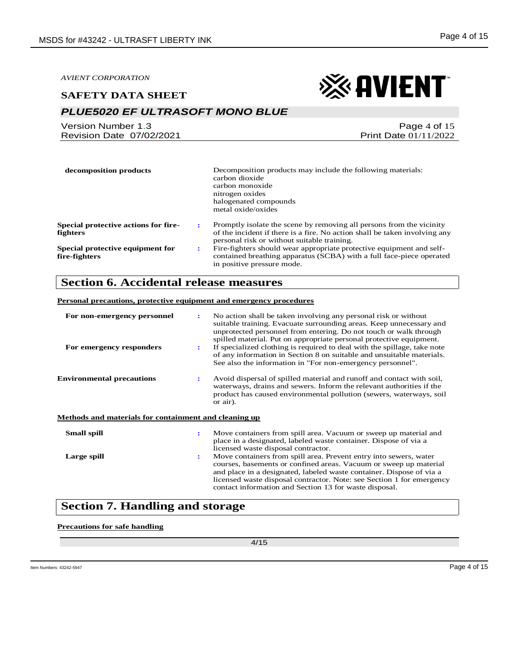#### **SAFETY DATA SHEET**

## *PLUE5020 EF ULTRASOFT MONO BLUE*

| Version Number 1.3       | Page 4 of 15                 |
|--------------------------|------------------------------|
| Revision Date 07/02/2021 | <b>Print Date 01/11/2022</b> |

| decomposition products                                  |              | Decomposition products may include the following materials:<br>carbon dioxide<br>carbon monoxide<br>nitrogen oxides<br>halogenated compounds<br>metal oxide/oxides                                |
|---------------------------------------------------------|--------------|---------------------------------------------------------------------------------------------------------------------------------------------------------------------------------------------------|
| <b>Special protective actions for fire-</b><br>fighters | $\mathbf{r}$ | Promptly isolate the scene by removing all persons from the vicinity<br>of the incident if there is a fire. No action shall be taken involving any<br>personal risk or without suitable training. |
| Special protective equipment for<br>fire-fighters       | ÷            | Fire-fighters should wear appropriate protective equipment and self-<br>contained breathing apparatus (SCBA) with a full face-piece operated<br>in positive pressure mode.                        |

### **Section 6. Accidental release measures**

#### **Personal precautions, protective equipment and emergency procedures**

| For non-emergency personnel<br>For emergency responders | ÷<br>$\ddot{\phantom{a}}$ | No action shall be taken involving any personal risk or without<br>suitable training. Evacuate surrounding areas. Keep unnecessary and<br>unprotected personnel from entering. Do not touch or walk through<br>spilled material. Put on appropriate personal protective equipment.<br>If specialized clothing is required to deal with the spillage, take note<br>of any information in Section 8 on suitable and unsuitable materials.<br>See also the information in "For non-emergency personnel". |
|---------------------------------------------------------|---------------------------|-------------------------------------------------------------------------------------------------------------------------------------------------------------------------------------------------------------------------------------------------------------------------------------------------------------------------------------------------------------------------------------------------------------------------------------------------------------------------------------------------------|
| <b>Environmental precautions</b>                        | $\ddot{\phantom{a}}$      | Avoid dispersal of spilled material and runoff and contact with soil,<br>waterways, drains and sewers. Inform the relevant authorities if the<br>product has caused environmental pollution (sewers, waterways, soil<br>or air).                                                                                                                                                                                                                                                                      |
| Methods and materials for containment and cleaning up   |                           |                                                                                                                                                                                                                                                                                                                                                                                                                                                                                                       |
| <b>Small spill</b>                                      | ÷                         | Move containers from spill area. Vacuum or sweep up material and<br>place in a designated, labeled waste container. Dispose of via a<br>licensed waste disposal contractor.                                                                                                                                                                                                                                                                                                                           |
| Large spill                                             | $\ddot{\phantom{a}}$      | Move containers from spill area. Prevent entry into sewers, water<br>courses, basements or confined areas. Vacuum or sweep up material<br>and place in a designated, labeled waste container. Dispose of via a<br>licensed waste disposal contractor. Note: see Section 1 for emergency<br>contact information and Section 13 for waste disposal.                                                                                                                                                     |

## **Section 7. Handling and storage**

#### **Precautions for safe handling**

4/15

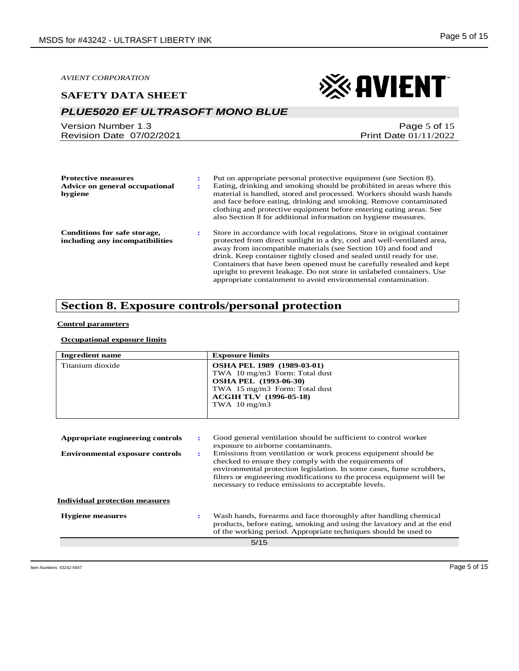#### **SAFETY DATA SHEET**

## *PLUE5020 EF ULTRASOFT MONO BLUE*

Version Number 1.3 Revision Date 07/02/2021 ※ AVIENT

Page 5 of 15

Print Date 01/11/2022

| <b>Protective measures</b><br>Advice on general occupational<br>hygiene |    | Put on appropriate personal protective equipment (see Section 8).<br>Eating, drinking and smoking should be prohibited in areas where this<br>material is handled, stored and processed. Workers should wash hands<br>and face before eating, drinking and smoking. Remove contaminated<br>clothing and protective equipment before entering eating areas. See<br>also Section 8 for additional information on hygiene measures.                                                                               |
|-------------------------------------------------------------------------|----|----------------------------------------------------------------------------------------------------------------------------------------------------------------------------------------------------------------------------------------------------------------------------------------------------------------------------------------------------------------------------------------------------------------------------------------------------------------------------------------------------------------|
| Conditions for safe storage,<br>including any incompatibilities         | ٠. | Store in accordance with local regulations. Store in original container<br>protected from direct sunlight in a dry, cool and well-ventilated area,<br>away from incompatible materials (see Section 10) and food and<br>drink. Keep container tightly closed and sealed until ready for use.<br>Containers that have been opened must be carefully resealed and kept<br>upright to prevent leakage. Do not store in unlabeled containers. Use<br>appropriate containment to avoid environmental contamination. |

## **Section 8. Exposure controls/personal protection**

#### **Control parameters**

#### **Occupational exposure limits**

| <b>Ingredient name</b>                 |                                                                                                                                                                                                 | <b>Exposure limits</b>                                                                                                                                                                                                                                                                                                           |  |  |  |
|----------------------------------------|-------------------------------------------------------------------------------------------------------------------------------------------------------------------------------------------------|----------------------------------------------------------------------------------------------------------------------------------------------------------------------------------------------------------------------------------------------------------------------------------------------------------------------------------|--|--|--|
| Titanium dioxide                       | <b>OSHA PEL 1989 (1989-03-01)</b><br>TWA 10 mg/m3 Form: Total dust<br><b>OSHA PEL (1993-06-30)</b><br>TWA 15 mg/m3 Form: Total dust<br><b>ACGIH TLV (1996-05-18)</b><br>TWA $10 \text{ mg/m}$ 3 |                                                                                                                                                                                                                                                                                                                                  |  |  |  |
| Appropriate engineering controls       | ÷                                                                                                                                                                                               | Good general ventilation should be sufficient to control worker<br>exposure to airborne contaminants.                                                                                                                                                                                                                            |  |  |  |
| <b>Environmental exposure controls</b> | ÷                                                                                                                                                                                               | Emissions from ventilation or work process equipment should be<br>checked to ensure they comply with the requirements of<br>environmental protection legislation. In some cases, fume scrubbers,<br>filters or engineering modifications to the process equipment will be<br>necessary to reduce emissions to acceptable levels. |  |  |  |
| <b>Individual protection measures</b>  |                                                                                                                                                                                                 |                                                                                                                                                                                                                                                                                                                                  |  |  |  |
| <b>Hygiene</b> measures                |                                                                                                                                                                                                 | Wash hands, forearms and face thoroughly after handling chemical<br>products, before eating, smoking and using the lavatory and at the end<br>of the working period. Appropriate techniques should be used to                                                                                                                    |  |  |  |
|                                        |                                                                                                                                                                                                 | 5/15                                                                                                                                                                                                                                                                                                                             |  |  |  |
|                                        |                                                                                                                                                                                                 |                                                                                                                                                                                                                                                                                                                                  |  |  |  |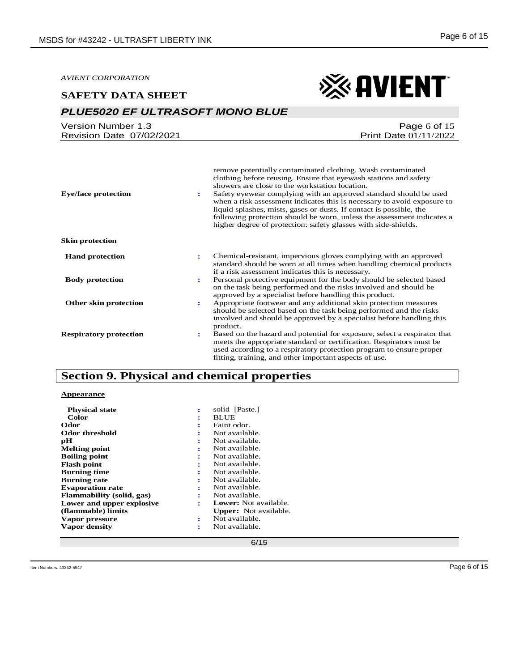### *PLUE5020 EF ULTRASOFT MONO BLUE*

| Version Number 1.3       | Page 6 of $15$               |
|--------------------------|------------------------------|
| Revision Date 07/02/2021 | <b>Print Date 01/11/2022</b> |

| <b>Eye/face protection</b>    | remove potentially contaminated clothing. Wash contaminated<br>clothing before reusing. Ensure that eyewash stations and safety<br>showers are close to the workstation location.<br>Safety eyewear complying with an approved standard should be used<br>÷<br>when a risk assessment indicates this is necessary to avoid exposure to<br>liquid splashes, mists, gases or dusts. If contact is possible, the<br>following protection should be worn, unless the assessment indicates a<br>higher degree of protection: safety glasses with side-shields. |
|-------------------------------|-----------------------------------------------------------------------------------------------------------------------------------------------------------------------------------------------------------------------------------------------------------------------------------------------------------------------------------------------------------------------------------------------------------------------------------------------------------------------------------------------------------------------------------------------------------|
| <b>Skin protection</b>        |                                                                                                                                                                                                                                                                                                                                                                                                                                                                                                                                                           |
| <b>Hand protection</b>        | Chemical-resistant, impervious gloves complying with an approved<br>÷<br>standard should be worn at all times when handling chemical products<br>if a risk assessment indicates this is necessary.                                                                                                                                                                                                                                                                                                                                                        |
| <b>Body protection</b>        | Personal protective equipment for the body should be selected based<br>÷<br>on the task being performed and the risks involved and should be<br>approved by a specialist before handling this product.                                                                                                                                                                                                                                                                                                                                                    |
| Other skin protection         | Appropriate footwear and any additional skin protection measures<br>÷<br>should be selected based on the task being performed and the risks<br>involved and should be approved by a specialist before handling this<br>product.                                                                                                                                                                                                                                                                                                                           |
| <b>Respiratory protection</b> | Based on the hazard and potential for exposure, select a respirator that<br>٠.<br>meets the appropriate standard or certification. Respirators must be<br>used according to a respiratory protection program to ensure proper<br>fitting, training, and other important aspects of use.                                                                                                                                                                                                                                                                   |

## **Section 9. Physical and chemical properties**

#### **Appearance**

| <b>Physical state</b>     |   | solid [Paste.]               |
|---------------------------|---|------------------------------|
| Color                     |   | <b>BLUE</b>                  |
| Odor                      | ÷ | Faint odor.                  |
| <b>Odor threshold</b>     | ٠ | Not available.               |
| рH                        | ÷ | Not available.               |
| <b>Melting point</b>      | ÷ | Not available.               |
| Boiling point             | ÷ | Not available.               |
| <b>Flash point</b>        | ÷ | Not available.               |
| <b>Burning time</b>       | ٠ | Not available.               |
| Burning rate              | ٠ | Not available.               |
| <b>Evaporation rate</b>   |   | Not available.               |
| Flammability (solid, gas) | ÷ | Not available.               |
| Lower and upper explosive | ÷ | <b>Lower:</b> Not available. |
| (flammable) limits        |   | <b>Upper:</b> Not available. |
| Vapor pressure            | ÷ | Not available.               |
| Vapor density             | ٠ | Not available.               |
|                           |   |                              |

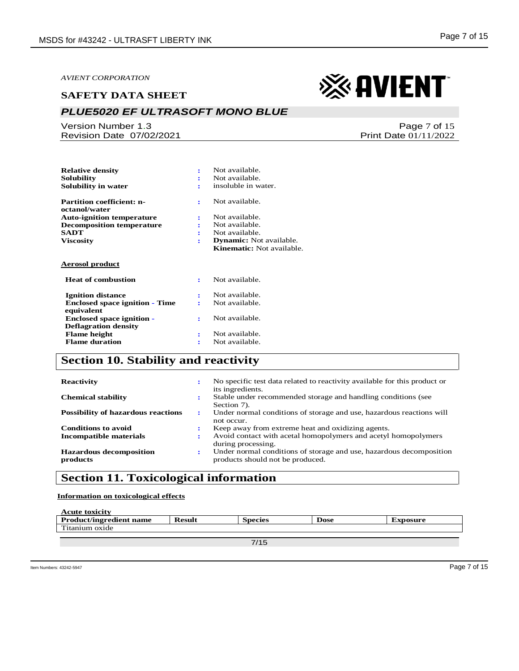#### *PLUE5020 EF ULTRASOFT MONO BLUE*

Version Number 1.3 Revision Date 07/02/2021

| <b>Relative density</b>                                         |    | Not available.                   |
|-----------------------------------------------------------------|----|----------------------------------|
| Solubility                                                      |    | Not available.                   |
| Solubility in water                                             |    | insoluble in water.              |
| <b>Partition coefficient: n-</b>                                | ÷  | Not available.                   |
| octanol/water                                                   |    |                                  |
| <b>Auto-ignition temperature</b>                                | ÷  | Not available.                   |
| <b>Decomposition temperature</b>                                |    | Not available.                   |
| <b>SADT</b>                                                     |    | Not available.                   |
| Viscositv                                                       | ÷  | <b>Dynamic:</b> Not available.   |
|                                                                 |    | <b>Kinematic:</b> Not available. |
| <b>Aerosol product</b>                                          |    |                                  |
| <b>Heat of combustion</b>                                       | ÷  | Not available.                   |
| <b>Ignition distance</b>                                        |    | Not available.                   |
| <b>Enclosed space ignition - Time</b>                           |    |                                  |
|                                                                 |    | Not available.                   |
| equivalent                                                      |    |                                  |
|                                                                 | ٠. | Not available.                   |
| <b>Enclosed space ignition -</b><br><b>Deflagration density</b> |    |                                  |
|                                                                 | ÷  | Not available.                   |
| <b>Flame</b> height<br><b>Flame duration</b>                    | ÷  | Not available.                   |

## **Section 10. Stability and reactivity**

| <b>Reactivity</b>                          | ÷ | No specific test data related to reactivity available for this product or<br>its ingredients.           |
|--------------------------------------------|---|---------------------------------------------------------------------------------------------------------|
| <b>Chemical stability</b>                  | ÷ | Stable under recommended storage and handling conditions (see<br>Section 7).                            |
| <b>Possibility of hazardous reactions</b>  | ÷ | Under normal conditions of storage and use, hazardous reactions will<br>not occur.                      |
| <b>Conditions to avoid</b>                 |   | Keep away from extreme heat and oxidizing agents.                                                       |
| Incompatible materials                     | ÷ | Avoid contact with acetal homopolymers and acetyl homopolymers<br>during processing.                    |
| <b>Hazardous decomposition</b><br>products | ÷ | Under normal conditions of storage and use, hazardous decomposition<br>products should not be produced. |

## **Section 11. Toxicological information**

**Information on toxicological effects**

| <b>Acute toxicity</b>          |               |                |             |          |
|--------------------------------|---------------|----------------|-------------|----------|
| <b>Product/ingredient name</b> | <b>Result</b> | <b>Species</b> | <b>Dose</b> | Exposure |
| Titanium oxide                 |               |                |             |          |
|                                |               |                |             |          |

7/15

Page 7 of 15 Print Date 01/11/2022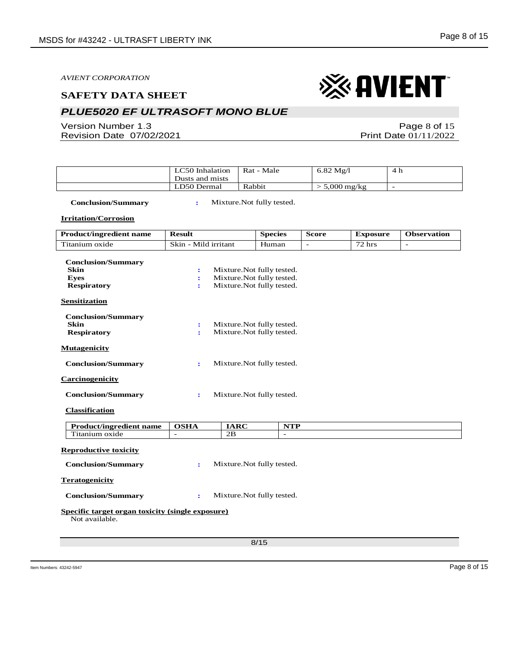### *PLUE5020 EF ULTRASOFT MONO BLUE*

Version Number 1.3 Revision Date 07/02/2021

Page 8 of 15 Print Date 01/11/2022

| LC50 Inhalation<br>Dusts and mists | Rat - Male | $6.82 \text{ Mg}/l$   | -4 h |
|------------------------------------|------------|-----------------------|------|
| LD50 Dermal                        | Rabbit     | $5,000 \text{ mg/kg}$ | -    |

 **Conclusion/Summary :** Mixture.Not fully tested.

**Irritation/Corrosion**

| <b>Product/ingredient name</b>                                     | <b>Result</b>        |             | <b>Species</b>             | <b>Score</b> | <b>Exposure</b>         | <b>Observation</b>       |
|--------------------------------------------------------------------|----------------------|-------------|----------------------------|--------------|-------------------------|--------------------------|
| Titanium oxide                                                     | Skin - Mild irritant |             | Human                      |              | $\sqrt{72 \text{ hrs}}$ | $\overline{\phantom{a}}$ |
|                                                                    |                      |             |                            |              |                         |                          |
| <b>Conclusion/Summary</b><br><b>Skin</b>                           | $\ddot{\cdot}$       |             | Mixture. Not fully tested. |              |                         |                          |
| <b>Eves</b>                                                        | $\ddot{\cdot}$       |             | Mixture. Not fully tested. |              |                         |                          |
| <b>Respiratory</b>                                                 | ÷                    |             | Mixture. Not fully tested. |              |                         |                          |
| <b>Sensitization</b>                                               |                      |             |                            |              |                         |                          |
| <b>Conclusion/Summary</b>                                          |                      |             |                            |              |                         |                          |
| <b>Skin</b>                                                        | $\ddot{\cdot}$       |             | Mixture. Not fully tested. |              |                         |                          |
| <b>Respiratory</b>                                                 | ÷                    |             | Mixture. Not fully tested. |              |                         |                          |
| <b>Mutagenicity</b>                                                |                      |             |                            |              |                         |                          |
| <b>Conclusion/Summary</b>                                          | ÷                    |             | Mixture. Not fully tested. |              |                         |                          |
| <b>Carcinogenicity</b>                                             |                      |             |                            |              |                         |                          |
| <b>Conclusion/Summary</b>                                          | ÷                    |             | Mixture. Not fully tested. |              |                         |                          |
| <b>Classification</b>                                              |                      |             |                            |              |                         |                          |
| <b>Product/ingredient name</b>                                     | <b>OSHA</b>          | <b>IARC</b> | <b>NTP</b>                 |              |                         |                          |
| Titanium oxide                                                     | $\overline{a}$       | 2B          | $\sim$                     |              |                         |                          |
| <b>Reproductive toxicity</b><br><b>Conclusion/Summary</b>          | ÷                    |             | Mixture. Not fully tested. |              |                         |                          |
| <b>Teratogenicity</b>                                              |                      |             |                            |              |                         |                          |
| <b>Conclusion/Summary</b>                                          | $\ddot{\phantom{a}}$ |             | Mixture. Not fully tested. |              |                         |                          |
| Specific target organ toxicity (single exposure)<br>Not available. |                      |             |                            |              |                         |                          |
|                                                                    |                      |             | 8/15                       |              |                         |                          |
|                                                                    |                      |             |                            |              |                         |                          |

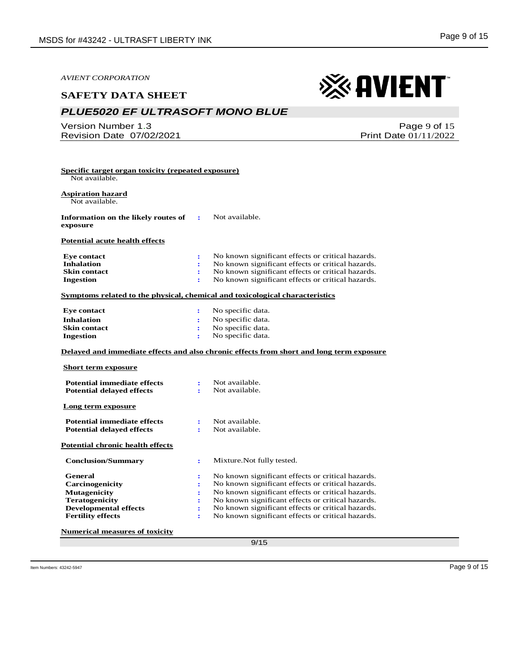#### **SAFETY DATA SHEET**

## *PLUE5020 EF ULTRASOFT MONO BLUE*

Version Number 1.3 Revision Date 07/02/2021

Page 9 of 15 Print Date 01/11/2022

※ AVIENT

| Specific target organ toxicity (repeated exposure)<br>Not available.                                                                   |                            |                                                                                                                                                                                                                                                                                                                            |
|----------------------------------------------------------------------------------------------------------------------------------------|----------------------------|----------------------------------------------------------------------------------------------------------------------------------------------------------------------------------------------------------------------------------------------------------------------------------------------------------------------------|
| Aspiration hazard<br>Not available.                                                                                                    |                            |                                                                                                                                                                                                                                                                                                                            |
| Information on the likely routes of<br>exposure                                                                                        | ÷                          | Not available.                                                                                                                                                                                                                                                                                                             |
| Potential acute health effects                                                                                                         |                            |                                                                                                                                                                                                                                                                                                                            |
| <b>Eye contact</b><br><b>Inhalation</b><br><b>Skin contact</b><br><b>Ingestion</b>                                                     | ÷<br>÷<br>÷<br>÷           | No known significant effects or critical hazards.<br>No known significant effects or critical hazards.<br>No known significant effects or critical hazards.<br>No known significant effects or critical hazards.                                                                                                           |
| Symptoms related to the physical, chemical and toxicological characteristics                                                           |                            |                                                                                                                                                                                                                                                                                                                            |
| <b>Eye contact</b><br><b>Inhalation</b><br><b>Skin contact</b><br><b>Ingestion</b>                                                     | ÷<br>÷<br>÷<br>÷           | No specific data.<br>No specific data.<br>No specific data.<br>No specific data.                                                                                                                                                                                                                                           |
|                                                                                                                                        |                            | Delayed and immediate effects and also chronic effects from short and long term exposure                                                                                                                                                                                                                                   |
| <b>Short term exposure</b>                                                                                                             |                            |                                                                                                                                                                                                                                                                                                                            |
| <b>Potential immediate effects</b><br><b>Potential delayed effects</b>                                                                 | ÷<br>$\ddot{\phantom{a}}$  | Not available.<br>Not available.                                                                                                                                                                                                                                                                                           |
| Long term exposure                                                                                                                     |                            |                                                                                                                                                                                                                                                                                                                            |
| <b>Potential immediate effects</b><br><b>Potential delayed effects</b>                                                                 | $\ddot{\cdot}$<br>÷        | Not available.<br>Not available.                                                                                                                                                                                                                                                                                           |
| <b>Potential chronic health effects</b>                                                                                                |                            |                                                                                                                                                                                                                                                                                                                            |
| <b>Conclusion/Summary</b>                                                                                                              | $\ddot{\cdot}$             | Mixture. Not fully tested.                                                                                                                                                                                                                                                                                                 |
| General<br>Carcinogenicity<br><b>Mutagenicity</b><br><b>Teratogenicity</b><br><b>Developmental effects</b><br><b>Fertility effects</b> | ÷<br>÷<br>÷<br>÷<br>÷<br>÷ | No known significant effects or critical hazards.<br>No known significant effects or critical hazards.<br>No known significant effects or critical hazards.<br>No known significant effects or critical hazards.<br>No known significant effects or critical hazards.<br>No known significant effects or critical hazards. |
| <b>Numerical measures of toxicity</b>                                                                                                  |                            |                                                                                                                                                                                                                                                                                                                            |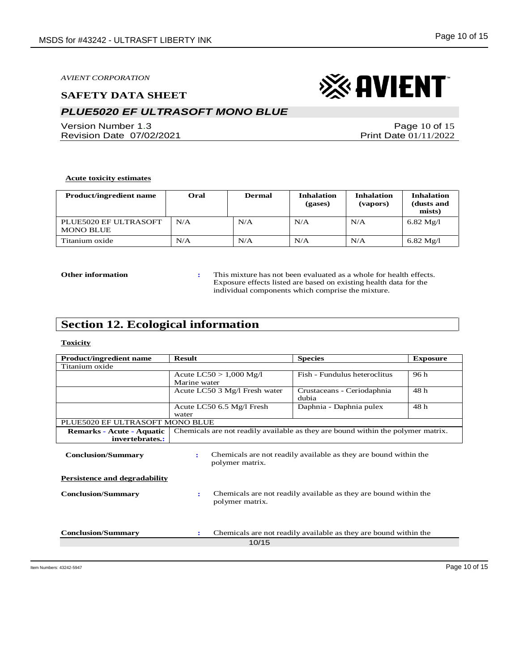#### **SAFETY DATA SHEET**

## *PLUE5020 EF ULTRASOFT MONO BLUE*

Version Number 1.3 Revision Date 07/02/2021

Page 10 of 15 Print Date 01/11/2022

#### **Acute toxicity estimates**

| <b>Product/ingredient name</b>            | Oral | <b>Dermal</b> | <b>Inhalation</b><br>(gases) | <b>Inhalation</b><br>(vapors) | <b>Inhalation</b><br>(dusts and<br>mists) |
|-------------------------------------------|------|---------------|------------------------------|-------------------------------|-------------------------------------------|
| PLUE5020 EF ULTRASOFT<br><b>MONO BLUE</b> | N/A  | N/A           | N/A                          | N/A                           | $6.82 \text{ Mg}/l$                       |
| Titanium oxide                            | N/A  | N/A           | N/A                          | N/A                           | $6.82 \text{ Mg}/l$                       |

**Other information :** This mixture has not been evaluated as a whole for health effects. Exposure effects listed are based on existing health data for the individual components which comprise the mixture.

## **Section 12. Ecological information**

#### **Toxicity**

| <b>Product/ingredient name</b>                                    | <b>Result</b>                                                                       |                               | <b>Species</b>                                                                   | <b>Exposure</b> |
|-------------------------------------------------------------------|-------------------------------------------------------------------------------------|-------------------------------|----------------------------------------------------------------------------------|-----------------|
| Titanium oxide                                                    |                                                                                     |                               |                                                                                  |                 |
|                                                                   | Acute $LC50 > 1,000$ Mg/l                                                           |                               | Fish - Fundulus heteroclitus                                                     | 96 h            |
|                                                                   | Marine water                                                                        |                               |                                                                                  |                 |
|                                                                   |                                                                                     | Acute LC50 3 Mg/l Fresh water | Crustaceans - Ceriodaphnia<br>dubia                                              | 48 h            |
|                                                                   | Acute LC50 6.5 Mg/l Fresh<br>water                                                  |                               | Daphnia - Daphnia pulex                                                          | 48 h            |
| PLUE5020 EF ULTRASOFT MONO BLUE                                   |                                                                                     |                               |                                                                                  |                 |
| <b>Remarks - Acute - Aquatic</b>                                  |                                                                                     |                               | Chemicals are not readily available as they are bound within the polymer matrix. |                 |
| invertebrates.:                                                   |                                                                                     |                               |                                                                                  |                 |
| <b>Conclusion/Summary</b>                                         | Chemicals are not readily available as they are bound within the<br>polymer matrix. |                               |                                                                                  |                 |
| <b>Persistence and degradability</b><br><b>Conclusion/Summary</b> | ÷                                                                                   | polymer matrix.               | Chemicals are not readily available as they are bound within the                 |                 |
| <b>Conclusion/Summary</b>                                         | ÷                                                                                   | 10/15                         | Chemicals are not readily available as they are bound within the                 |                 |
|                                                                   |                                                                                     |                               |                                                                                  |                 |

## ※AVIENT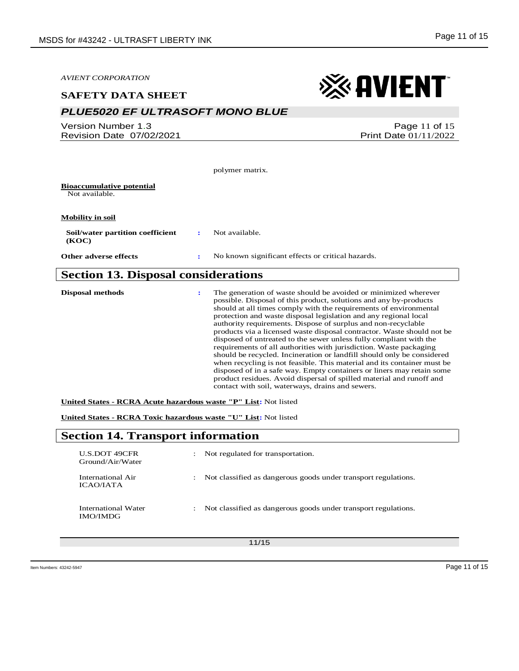| <b>AVIENT CORPORATION</b>                             |                      | $\otimes$ avient                                                                                                                                                                                                                                                                                                                                                                                                                                                                               |
|-------------------------------------------------------|----------------------|------------------------------------------------------------------------------------------------------------------------------------------------------------------------------------------------------------------------------------------------------------------------------------------------------------------------------------------------------------------------------------------------------------------------------------------------------------------------------------------------|
| <b>SAFETY DATA SHEET</b>                              |                      |                                                                                                                                                                                                                                                                                                                                                                                                                                                                                                |
| <b>PLUE5020 EF ULTRASOFT MONO BLUE</b>                |                      |                                                                                                                                                                                                                                                                                                                                                                                                                                                                                                |
| Version Number 1.3<br><b>Revision Date 07/02/2021</b> |                      | Page 11 of 15<br>Print Date 01/11/2022                                                                                                                                                                                                                                                                                                                                                                                                                                                         |
|                                                       |                      | polymer matrix.                                                                                                                                                                                                                                                                                                                                                                                                                                                                                |
| <b>Bioaccumulative potential</b><br>Not available.    |                      |                                                                                                                                                                                                                                                                                                                                                                                                                                                                                                |
| <b>Mobility in soil</b>                               |                      |                                                                                                                                                                                                                                                                                                                                                                                                                                                                                                |
| Soil/water partition coefficient<br>(KOC)             | $\mathbf{r}$         | Not available.                                                                                                                                                                                                                                                                                                                                                                                                                                                                                 |
| Other adverse effects                                 | ÷                    | No known significant effects or critical hazards.                                                                                                                                                                                                                                                                                                                                                                                                                                              |
| <b>Section 13. Disposal considerations</b>            |                      |                                                                                                                                                                                                                                                                                                                                                                                                                                                                                                |
| <b>Disposal methods</b>                               | $\ddot{\phantom{a}}$ | The generation of waste should be avoided or minimized wherever<br>possible. Disposal of this product, solutions and any by-products<br>should at all times comply with the requirements of environmental<br>protection and waste disposal legislation and any regional local<br>authority requirements. Dispose of surplus and non-recyclable<br>products via a licensed waste disposal contractor. Waste should not be<br>disposed of untreated to the sewer unless fully compliant with the |

disposed of untreated to the sewer unless fully compliant with the requirements of all authorities with jurisdiction. Waste packaging should be recycled. Incineration or landfill should only be considered when recycling is not feasible. This material and its container must be disposed of in a safe way. Empty containers or liners may retain some product residues. Avoid dispersal of spilled material and runoff and contact with soil, waterways, drains and sewers.

**United States - RCRA Acute hazardous waste "P" List:** Not listed

**United States - RCRA Toxic hazardous waste "U" List:** Not listed

## **Section 14. Transport information**

| U.S.DOT 49CFR<br>Ground/Air/Water      | $\ddot{\phantom{0}}$ | Not regulated for transportation.                              |
|----------------------------------------|----------------------|----------------------------------------------------------------|
| International Air<br>ICAO/IATA         | ÷                    | Not classified as dangerous goods under transport regulations. |
| International Water<br><b>IMO/IMDG</b> | ÷                    | Not classified as dangerous goods under transport regulations. |

11/15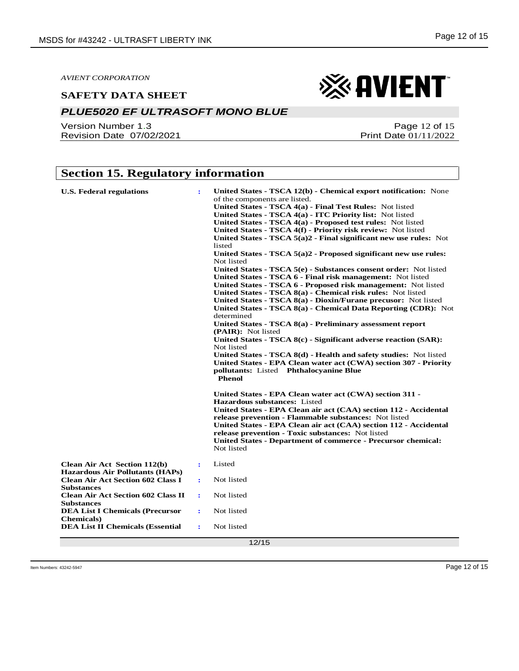#### *PLUE5020 EF ULTRASOFT MONO BLUE*

Version Number 1.3 Revision Date 07/02/2021

## **Section 15. Regulatory information**

| <b>U.S. Federal regulations</b>                                                                                                                                                                                                                                                                                             | $\ddot{\phantom{a}}$                                                          | United States - TSCA 12(b) - Chemical export notification: None<br>of the components are listed.<br>United States - TSCA 4(a) - Final Test Rules: Not listed<br>United States - TSCA 4(a) - ITC Priority list: Not listed<br>United States - TSCA 4(a) - Proposed test rules: Not listed<br>United States - TSCA 4(f) - Priority risk review: Not listed<br>United States - TSCA $5(a)2$ - Final significant new use rules: Not<br>listed<br>United States - TSCA $5(a)2$ - Proposed significant new use rules:<br>Not listed<br>United States - TSCA 5(e) - Substances consent order: Not listed<br>United States - TSCA 6 - Final risk management: Not listed<br>United States - TSCA 6 - Proposed risk management: Not listed<br>United States - TSCA 8(a) - Chemical risk rules: Not listed<br>United States - TSCA 8(a) - Dioxin/Furane precusor: Not listed<br>United States - TSCA 8(a) - Chemical Data Reporting (CDR): Not<br>determined<br>United States - TSCA 8(a) - Preliminary assessment report<br>(PAIR): Not listed<br>United States - TSCA 8(c) - Significant adverse reaction (SAR):<br>Not listed<br>United States - TSCA 8(d) - Health and safety studies: Not listed<br>United States - EPA Clean water act (CWA) section 307 - Priority |
|-----------------------------------------------------------------------------------------------------------------------------------------------------------------------------------------------------------------------------------------------------------------------------------------------------------------------------|-------------------------------------------------------------------------------|----------------------------------------------------------------------------------------------------------------------------------------------------------------------------------------------------------------------------------------------------------------------------------------------------------------------------------------------------------------------------------------------------------------------------------------------------------------------------------------------------------------------------------------------------------------------------------------------------------------------------------------------------------------------------------------------------------------------------------------------------------------------------------------------------------------------------------------------------------------------------------------------------------------------------------------------------------------------------------------------------------------------------------------------------------------------------------------------------------------------------------------------------------------------------------------------------------------------------------------------------------------|
| <b>Clean Air Act Section 112(b)</b><br><b>Hazardous Air Pollutants (HAPs)</b><br><b>Clean Air Act Section 602 Class I</b><br><b>Substances</b><br><b>Clean Air Act Section 602 Class II</b><br><b>Substances</b><br><b>DEA List I Chemicals (Precursor</b><br><b>Chemicals</b> )<br><b>DEA List II Chemicals (Essential</b> | ÷<br>$\ddot{\phantom{a}}$<br>÷<br>$\ddot{\mathbf{r}}$<br>$\ddot{\phantom{a}}$ | pollutants: Listed Phthalocyanine Blue<br><b>Phenol</b><br>United States - EPA Clean water act (CWA) section 311 -<br><b>Hazardous substances:</b> Listed<br>United States - EPA Clean air act (CAA) section 112 - Accidental<br>release prevention - Flammable substances: Not listed<br>United States - EPA Clean air act (CAA) section 112 - Accidental<br>release prevention - Toxic substances: Not listed<br>United States - Department of commerce - Precursor chemical:<br>Not listed<br>Listed<br>Not listed<br>Not listed<br>Not listed<br>Not listed<br>12/15                                                                                                                                                                                                                                                                                                                                                                                                                                                                                                                                                                                                                                                                                       |

Page 12 of 15

Print Date 01/11/2022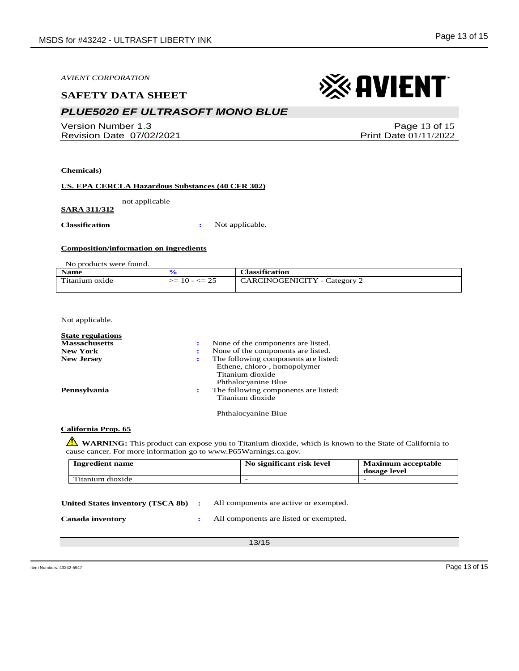#### **SAFETY DATA SHEET**

## *PLUE5020 EF ULTRASOFT MONO BLUE*

Version Number 1.3 Revision Date 07/02/2021

**Chemicals)**

#### **US. EPA CERCLA Hazardous Substances (40 CFR 302)**

not applicable

**SARA 311/312**

**Classification :** Not applicable.

#### **Composition/information on ingredients**

No products were found.

| <b>Name</b>    |                  | <b>Classification</b>               |
|----------------|------------------|-------------------------------------|
| Titanium oxide | $>= 10 - \le 25$ | <b>CARCINOGENICITY</b> - Category 2 |
|                |                  |                                     |

Not applicable.

| <b>State regulations</b> |    |                                                                                                                 |
|--------------------------|----|-----------------------------------------------------------------------------------------------------------------|
| <b>Massachusetts</b>     | ÷  | None of the components are listed.                                                                              |
| <b>New York</b>          | е. | None of the components are listed.                                                                              |
| <b>New Jersey</b>        | ÷  | The following components are listed:<br>Ethene, chloro-, homopolymer<br>Titanium dioxide<br>Phthalocyanine Blue |
| Pennsylvania             | ÷  | The following components are listed:<br>Titanium dioxide                                                        |
|                          |    | Phthalocyanine Blue                                                                                             |

**California Prop. 65**

**WARNING**: This product can expose you to Titanium dioxide, which is known to the State of California to cause cancer. For more information go to www.P65Warnings.ca.gov.

| <b>Ingredient name</b> | No significant risk level | <b>Maximum acceptable</b><br>dosage level |
|------------------------|---------------------------|-------------------------------------------|
| Titanium dioxide       | -                         |                                           |

| United States inventory (TSCA 8b) | All components are active or exempted. |  |
|-----------------------------------|----------------------------------------|--|
|                                   |                                        |  |

**Canada inventory :** All components are listed or exempted.

13/15

Item Numbers: 43242-5947 Page 13 of 15

Page 13 of 15 Print Date 01/11/2022

※ AVIENT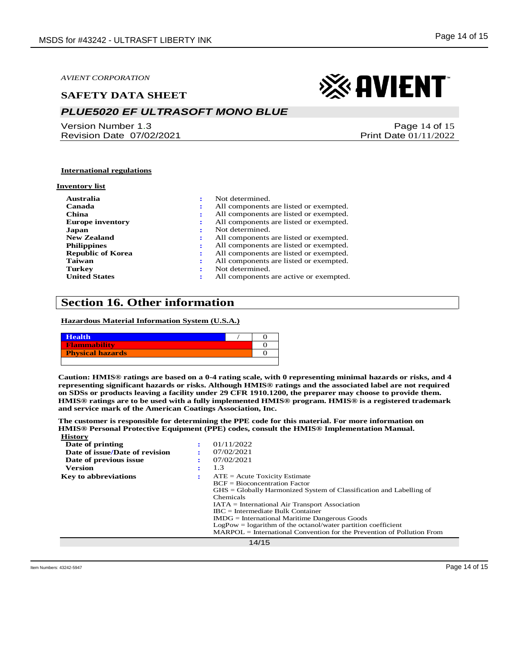#### **SAFETY DATA SHEET**

### *PLUE5020 EF ULTRASOFT MONO BLUE*

Version Number 1.3 Revision Date 07/02/2021

## ※ AVIENT

Page 14 of 15 Print Date 01/11/2022

#### **International regulations**

#### **Inventory list**

| Australia                | ٠  | Not determined.                        |
|--------------------------|----|----------------------------------------|
| Canada                   | ÷  | All components are listed or exempted. |
| China                    | ٠. | All components are listed or exempted. |
| <b>Europe inventory</b>  | :  | All components are listed or exempted. |
| Japan                    |    | Not determined.                        |
| <b>New Zealand</b>       | ٠. | All components are listed or exempted. |
| <b>Philippines</b>       |    | All components are listed or exempted. |
| <b>Republic of Korea</b> | ٠. | All components are listed or exempted. |
| Taiwan                   | ٠. | All components are listed or exempted. |
| <b>Turkey</b>            |    | Not determined.                        |
| <b>United States</b>     | ÷  | All components are active or exempted. |
|                          |    |                                        |

#### **Section 16. Other information**

**Hazardous Material Information System (U.S.A.)**

| <b>Health</b>           |  |
|-------------------------|--|
| <b>Flammability</b>     |  |
| <b>Physical hazards</b> |  |
|                         |  |

**Caution: HMIS® ratings are based on a 0-4 rating scale, with 0 representing minimal hazards or risks, and 4 representing significant hazards or risks. Although HMIS® ratings and the associated label are not required on SDSs or products leaving a facility under 29 CFR 1910.1200, the preparer may choose to provide them. HMIS® ratings are to be used with a fully implemented HMIS® program. HMIS® is a registered trademark and service mark of the American Coatings Association, Inc.**

**The customer is responsible for determining the PPE code for this material. For more information on HMIS® Personal Protective Equipment (PPE) codes, consult the HMIS® Implementation Manual. History**

| <b>AAASCOL \</b>               |   |                                                                          |
|--------------------------------|---|--------------------------------------------------------------------------|
| Date of printing               |   | 01/11/2022                                                               |
| Date of issue/Date of revision |   | 07/02/2021                                                               |
| Date of previous issue         |   | 07/02/2021                                                               |
| <b>Version</b>                 | ٠ | 1.3                                                                      |
| <b>Key to abbreviations</b>    |   | $ATE = Acute Toxicity Estimate$                                          |
|                                |   | $BCF = Bioconcentration Factor$                                          |
|                                |   | $GHS = Globally Harmonized System of Classification and Labelling of$    |
|                                |   | Chemicals                                                                |
|                                |   | $IATA = International Air Transport Association$                         |
|                                |   | $\text{IRC}$ = Intermediate Bulk Container                               |
|                                |   | $IMDG = International\,$ Maritime Dangerous Goods                        |
|                                |   | $LogPow = logarithm$ of the octanol/water partition coefficient          |
|                                |   | $MARPOL = International Convention for the Prevention of Pollution From$ |
|                                |   | 14/15                                                                    |